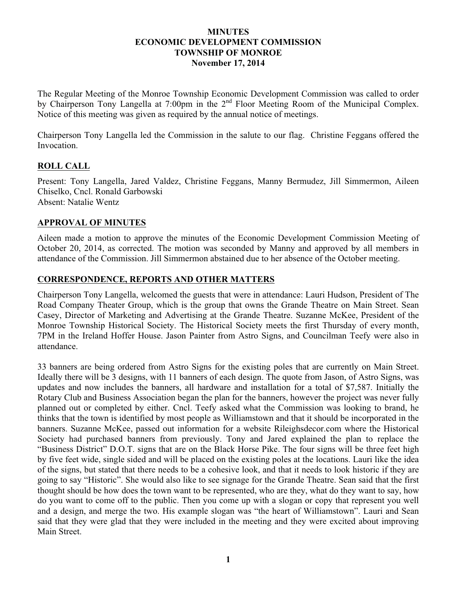#### **MINUTES ECONOMIC DEVELOPMENT COMMISSION TOWNSHIP OF MONROE November 17, 2014**

The Regular Meeting of the Monroe Township Economic Development Commission was called to order by Chairperson Tony Langella at 7:00pm in the 2<sup>nd</sup> Floor Meeting Room of the Municipal Complex. Notice of this meeting was given as required by the annual notice of meetings.

Chairperson Tony Langella led the Commission in the salute to our flag. Christine Feggans offered the Invocation.

## **ROLL CALL**

Present: Tony Langella, Jared Valdez, Christine Feggans, Manny Bermudez, Jill Simmermon, Aileen Chiselko, Cncl. Ronald Garbowski Absent: Natalie Wentz

#### **APPROVAL OF MINUTES**

Aileen made a motion to approve the minutes of the Economic Development Commission Meeting of October 20, 2014, as corrected. The motion was seconded by Manny and approved by all members in attendance of the Commission. Jill Simmermon abstained due to her absence of the October meeting.

## **CORRESPONDENCE, REPORTS AND OTHER MATTERS**

Chairperson Tony Langella, welcomed the guests that were in attendance: Lauri Hudson, President of The Road Company Theater Group, which is the group that owns the Grande Theatre on Main Street. Sean Casey, Director of Marketing and Advertising at the Grande Theatre. Suzanne McKee, President of the Monroe Township Historical Society. The Historical Society meets the first Thursday of every month, 7PM in the Ireland Hoffer House. Jason Painter from Astro Signs, and Councilman Teefy were also in attendance.

33 banners are being ordered from Astro Signs for the existing poles that are currently on Main Street. Ideally there will be 3 designs, with 11 banners of each design. The quote from Jason, of Astro Signs, was updates and now includes the banners, all hardware and installation for a total of \$7,587. Initially the Rotary Club and Business Association began the plan for the banners, however the project was never fully planned out or completed by either. Cncl. Teefy asked what the Commission was looking to brand, he thinks that the town is identified by most people as Williamstown and that it should be incorporated in the banners. Suzanne McKee, passed out information for a website Rileighsdecor.com where the Historical Society had purchased banners from previously. Tony and Jared explained the plan to replace the "Business District" D.O.T. signs that are on the Black Horse Pike. The four signs will be three feet high by five feet wide, single sided and will be placed on the existing poles at the locations. Lauri like the idea of the signs, but stated that there needs to be a cohesive look, and that it needs to look historic if they are going to say "Historic". She would also like to see signage for the Grande Theatre. Sean said that the first thought should be how does the town want to be represented, who are they, what do they want to say, how do you want to come off to the public. Then you come up with a slogan or copy that represent you well and a design, and merge the two. His example slogan was "the heart of Williamstown". Lauri and Sean said that they were glad that they were included in the meeting and they were excited about improving Main Street.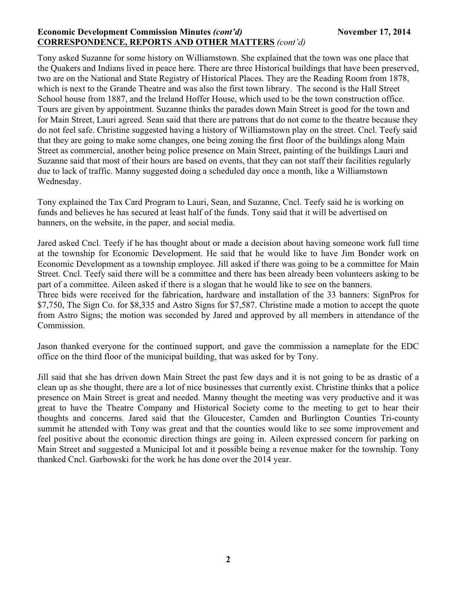### **Economic Development Commission Minutes** *(cont'd)* **November 17, 2014 CORRESPONDENCE, REPORTS AND OTHER MATTERS** *(cont'd)*

Tony asked Suzanne for some history on Williamstown. She explained that the town was one place that the Quakers and Indians lived in peace here. There are three Historical buildings that have been preserved, two are on the National and State Registry of Historical Places. They are the Reading Room from 1878, which is next to the Grande Theatre and was also the first town library. The second is the Hall Street School house from 1887, and the Ireland Hoffer House, which used to be the town construction office. Tours are given by appointment. Suzanne thinks the parades down Main Street is good for the town and for Main Street, Lauri agreed. Sean said that there are patrons that do not come to the theatre because they do not feel safe. Christine suggested having a history of Williamstown play on the street. Cncl. Teefy said that they are going to make some changes, one being zoning the first floor of the buildings along Main Street as commercial, another being police presence on Main Street, painting of the buildings Lauri and Suzanne said that most of their hours are based on events, that they can not staff their facilities regularly due to lack of traffic. Manny suggested doing a scheduled day once a month, like a Williamstown Wednesday.

Tony explained the Tax Card Program to Lauri, Sean, and Suzanne, Cncl. Teefy said he is working on funds and believes he has secured at least half of the funds. Tony said that it will be advertised on banners, on the website, in the paper, and social media.

Jared asked Cncl. Teefy if he has thought about or made a decision about having someone work full time at the township for Economic Development. He said that he would like to have Jim Bonder work on Economic Development as a township employee. Jill asked if there was going to be a committee for Main Street. Cncl. Teefy said there will be a committee and there has been already been volunteers asking to be part of a committee. Aileen asked if there is a slogan that he would like to see on the banners. Three bids were received for the fabrication, hardware and installation of the 33 banners: SignPros for \$7,750, The Sign Co. for \$8,335 and Astro Signs for \$7,587. Christine made a motion to accept the quote from Astro Signs; the motion was seconded by Jared and approved by all members in attendance of the Commission.

Jason thanked everyone for the continued support, and gave the commission a nameplate for the EDC office on the third floor of the municipal building, that was asked for by Tony.

Jill said that she has driven down Main Street the past few days and it is not going to be as drastic of a clean up as she thought, there are a lot of nice businesses that currently exist. Christine thinks that a police presence on Main Street is great and needed. Manny thought the meeting was very productive and it was great to have the Theatre Company and Historical Society come to the meeting to get to hear their thoughts and concerns. Jared said that the Gloucester, Camden and Burlington Counties Tri-county summit he attended with Tony was great and that the counties would like to see some improvement and feel positive about the economic direction things are going in. Aileen expressed concern for parking on Main Street and suggested a Municipal lot and it possible being a revenue maker for the township. Tony thanked Cncl. Garbowski for the work he has done over the 2014 year.